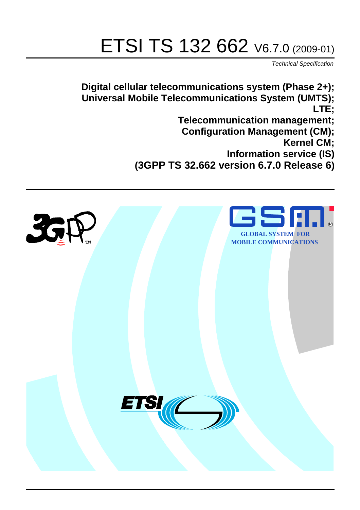# ETSI TS 132 662 V6.7.0 (2009-01)

*Technical Specification*

**Digital cellular telecommunications system (Phase 2+); Universal Mobile Telecommunications System (UMTS); LTE; Telecommunication management; Configuration Management (CM); Kernel CM; Information service (IS) (3GPP TS 32.662 version 6.7.0 Release 6)**

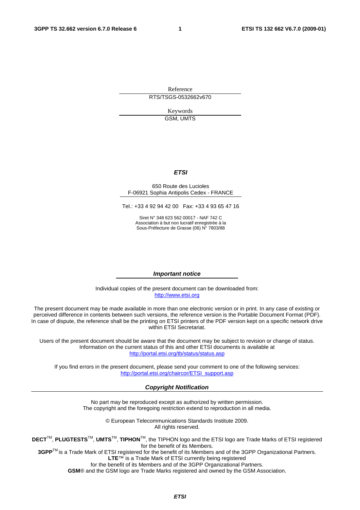Reference RTS/TSGS-0532662v670

> Keywords GSM, UMTS

#### *ETSI*

#### 650 Route des Lucioles F-06921 Sophia Antipolis Cedex - FRANCE

Tel.: +33 4 92 94 42 00 Fax: +33 4 93 65 47 16

Siret N° 348 623 562 00017 - NAF 742 C Association à but non lucratif enregistrée à la Sous-Préfecture de Grasse (06) N° 7803/88

#### *Important notice*

Individual copies of the present document can be downloaded from: [http://www.etsi.org](http://www.etsi.org/)

The present document may be made available in more than one electronic version or in print. In any case of existing or perceived difference in contents between such versions, the reference version is the Portable Document Format (PDF). In case of dispute, the reference shall be the printing on ETSI printers of the PDF version kept on a specific network drive within ETSI Secretariat.

Users of the present document should be aware that the document may be subject to revision or change of status. Information on the current status of this and other ETSI documents is available at <http://portal.etsi.org/tb/status/status.asp>

If you find errors in the present document, please send your comment to one of the following services: [http://portal.etsi.org/chaircor/ETSI\\_support.asp](http://portal.etsi.org/chaircor/ETSI_support.asp)

#### *Copyright Notification*

No part may be reproduced except as authorized by written permission. The copyright and the foregoing restriction extend to reproduction in all media.

> © European Telecommunications Standards Institute 2009. All rights reserved.

**DECT**TM, **PLUGTESTS**TM, **UMTS**TM, **TIPHON**TM, the TIPHON logo and the ETSI logo are Trade Marks of ETSI registered for the benefit of its Members.

**3GPP**TM is a Trade Mark of ETSI registered for the benefit of its Members and of the 3GPP Organizational Partners. **LTE**™ is a Trade Mark of ETSI currently being registered

for the benefit of its Members and of the 3GPP Organizational Partners.

**GSM**® and the GSM logo are Trade Marks registered and owned by the GSM Association.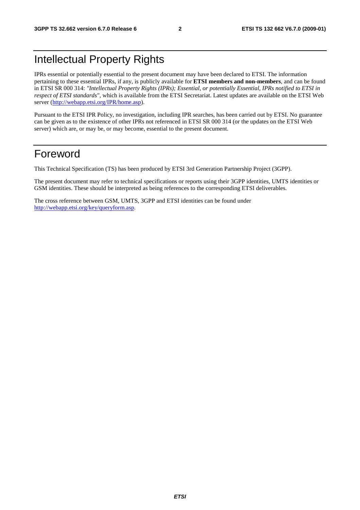# Intellectual Property Rights

IPRs essential or potentially essential to the present document may have been declared to ETSI. The information pertaining to these essential IPRs, if any, is publicly available for **ETSI members and non-members**, and can be found in ETSI SR 000 314: *"Intellectual Property Rights (IPRs); Essential, or potentially Essential, IPRs notified to ETSI in respect of ETSI standards"*, which is available from the ETSI Secretariat. Latest updates are available on the ETSI Web server [\(http://webapp.etsi.org/IPR/home.asp\)](http://webapp.etsi.org/IPR/home.asp).

Pursuant to the ETSI IPR Policy, no investigation, including IPR searches, has been carried out by ETSI. No guarantee can be given as to the existence of other IPRs not referenced in ETSI SR 000 314 (or the updates on the ETSI Web server) which are, or may be, or may become, essential to the present document.

# Foreword

This Technical Specification (TS) has been produced by ETSI 3rd Generation Partnership Project (3GPP).

The present document may refer to technical specifications or reports using their 3GPP identities, UMTS identities or GSM identities. These should be interpreted as being references to the corresponding ETSI deliverables.

The cross reference between GSM, UMTS, 3GPP and ETSI identities can be found under [http://webapp.etsi.org/key/queryform.asp.](http://webapp.etsi.org/key/queryform.asp)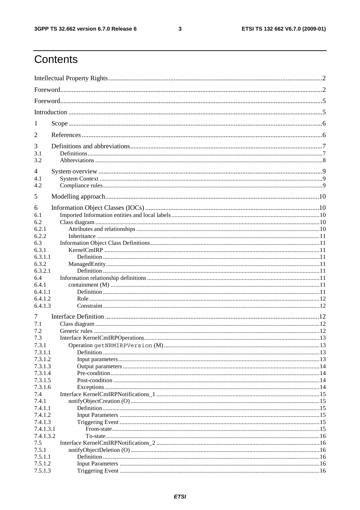#### $\mathbf{3}$

# Contents

| 1                  |  |  |  |
|--------------------|--|--|--|
| 2                  |  |  |  |
| 3                  |  |  |  |
| 3.1<br>3.2         |  |  |  |
| 4                  |  |  |  |
| 4.1<br>4.2         |  |  |  |
|                    |  |  |  |
| 5                  |  |  |  |
| 6<br>6.1           |  |  |  |
| 6.2                |  |  |  |
| 6.2.1              |  |  |  |
| 6.2.2              |  |  |  |
| 6.3                |  |  |  |
| 6.3.1              |  |  |  |
| 6.3.1.1            |  |  |  |
| 6.3.2              |  |  |  |
| 6.3.2.1            |  |  |  |
| 6.4                |  |  |  |
| 6.4.1<br>6.4.1.1   |  |  |  |
| 6.4.1.2            |  |  |  |
| 6.4.1.3            |  |  |  |
| 7                  |  |  |  |
| 7.1                |  |  |  |
| 7.2                |  |  |  |
| 7.3                |  |  |  |
| 7.3.1              |  |  |  |
| 7.3.1.1            |  |  |  |
| 7.3.1.2            |  |  |  |
| 7.3.1.3            |  |  |  |
| 7.3.1.4<br>7.3.1.5 |  |  |  |
| 7.3.1.6            |  |  |  |
| 7.4                |  |  |  |
| 7.4.1              |  |  |  |
| 7.4.1.1            |  |  |  |
| 7.4.1.2            |  |  |  |
| 7.4.1.3            |  |  |  |
| 7.4.1.3.1          |  |  |  |
| 7.4.1.3.2          |  |  |  |
| 7.5                |  |  |  |
| 7.5.1              |  |  |  |
| 7.5.1.1            |  |  |  |
| 7.5.1.2            |  |  |  |
| 7.5.1.3            |  |  |  |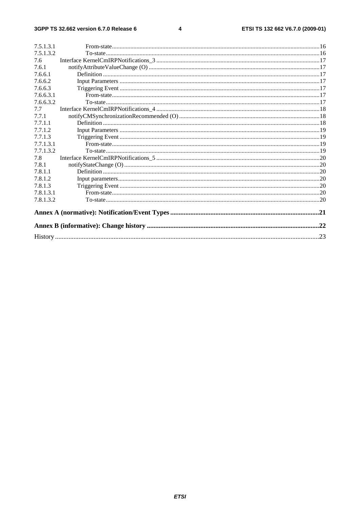#### $\overline{\mathbf{4}}$

| 7.5.1.3.1 |  |  |
|-----------|--|--|
| 7.5.1.3.2 |  |  |
| 7.6       |  |  |
| 7.6.1     |  |  |
| 7.6.6.1   |  |  |
| 7.6.6.2   |  |  |
| 7.6.6.3   |  |  |
| 7.6.6.3.1 |  |  |
| 7.6.6.3.2 |  |  |
| 7.7       |  |  |
| 7.7.1     |  |  |
| 7.7.1.1   |  |  |
| 7.7.1.2   |  |  |
| 7.7.1.3   |  |  |
| 7.7.1.3.1 |  |  |
| 7.7.1.3.2 |  |  |
| 7.8       |  |  |
| 7.8.1     |  |  |
| 7.8.1.1   |  |  |
| 7.8.1.2   |  |  |
| 7.8.1.3   |  |  |
| 7.8.1.3.1 |  |  |
| 7.8.1.3.2 |  |  |
|           |  |  |
|           |  |  |
|           |  |  |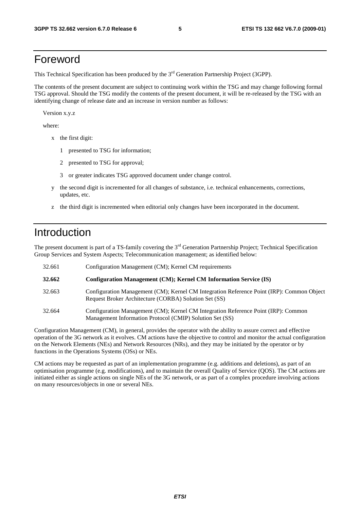# Foreword

This Technical Specification has been produced by the 3<sup>rd</sup> Generation Partnership Project (3GPP).

The contents of the present document are subject to continuing work within the TSG and may change following formal TSG approval. Should the TSG modify the contents of the present document, it will be re-released by the TSG with an identifying change of release date and an increase in version number as follows:

Version x.y.z

where:

- x the first digit:
	- 1 presented to TSG for information;
	- 2 presented to TSG for approval;
	- 3 or greater indicates TSG approved document under change control.
- y the second digit is incremented for all changes of substance, i.e. technical enhancements, corrections, updates, etc.
- z the third digit is incremented when editorial only changes have been incorporated in the document.

# Introduction

The present document is part of a TS-family covering the 3<sup>rd</sup> Generation Partnership Project; Technical Specification Group Services and System Aspects; Telecommunication management; as identified below:

| 32.661 | Configuration Management (CM); Kernel CM requirements                                                                                              |  |  |
|--------|----------------------------------------------------------------------------------------------------------------------------------------------------|--|--|
| 32.662 | Configuration Management (CM); Kernel CM Information Service (IS)                                                                                  |  |  |
| 32.663 | Configuration Management (CM); Kernel CM Integration Reference Point (IRP): Common Object<br>Request Broker Architecture (CORBA) Solution Set (SS) |  |  |
| 32.664 | Configuration Management (CM); Kernel CM Integration Reference Point (IRP): Common<br>Management Information Protocol (CMIP) Solution Set (SS)     |  |  |

Configuration Management (CM), in general, provides the operator with the ability to assure correct and effective operation of the 3G network as it evolves. CM actions have the objective to control and monitor the actual configuration on the Network Elements (NEs) and Network Resources (NRs), and they may be initiated by the operator or by functions in the Operations Systems (OSs) or NEs.

CM actions may be requested as part of an implementation programme (e.g. additions and deletions), as part of an optimisation programme (e.g. modifications), and to maintain the overall Quality of Service (QOS). The CM actions are initiated either as single actions on single NEs of the 3G network, or as part of a complex procedure involving actions on many resources/objects in one or several NEs.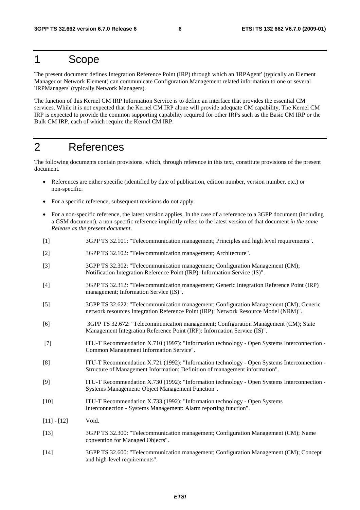### 1 Scope

The present document defines Integration Reference Point (IRP) through which an 'IRPAgent' (typically an Element Manager or Network Element) can communicate Configuration Management related information to one or several 'IRPManagers' (typically Network Managers).

The function of this Kernel CM IRP Information Service is to define an interface that provides the essential CM services. While it is not expected that the Kernel CM IRP alone will provide adequate CM capability, The Kernel CM IRP is expected to provide the common supporting capability required for other IRPs such as the Basic CM IRP or the Bulk CM IRP, each of which require the Kernel CM IRP.

# 2 References

The following documents contain provisions, which, through reference in this text, constitute provisions of the present document.

- References are either specific (identified by date of publication, edition number, version number, etc.) or non-specific.
- For a specific reference, subsequent revisions do not apply.
- For a non-specific reference, the latest version applies. In the case of a reference to a 3GPP document (including a GSM document), a non-specific reference implicitly refers to the latest version of that document *in the same Release as the present document*.
- [1] 3GPP TS 32.101: "Telecommunication management; Principles and high level requirements".
- [2] 3GPP TS 32.102: "Telecommunication management; Architecture".
- [3] 3GPP TS 32.302: "Telecommunication management; Configuration Management (CM); Notification Integration Reference Point (IRP): Information Service (IS)".
- [4] 3GPP TS 32.312: "Telecommunication management; Generic Integration Reference Point (IRP) management; Information Service (IS)".
- [5] 3GPP TS 32.622: "Telecommunication management; Configuration Management (CM); Generic network resources Integration Reference Point (IRP): Network Resource Model (NRM)".
- [6] 3GPP TS 32.672: "Telecommunication management; Configuration Management (CM); State Management Integration Reference Point (IRP): Information Service (IS)".
- [7] ITU-T Recommendation X.710 (1997): "Information technology Open Systems Interconnection Common Management Information Service".
- [8] ITU-T Recommendation X.721 (1992): "Information technology Open Systems Interconnection Structure of Management Information: Definition of management information".
- [9] ITU-T Recommendation X.730 (1992): "Information technology Open Systems Interconnection Systems Management: Object Management Function".
- [10] ITU-T Recommendation X.733 (1992): "Information technology Open Systems Interconnection - Systems Management: Alarm reporting function".
- $[11] [12]$  Void.
- [13] 3GPP TS 32.300: "Telecommunication management; Configuration Management (CM); Name convention for Managed Objects".
- [14] 3GPP TS 32.600: "Telecommunication management; Configuration Management (CM); Concept and high-level requirements".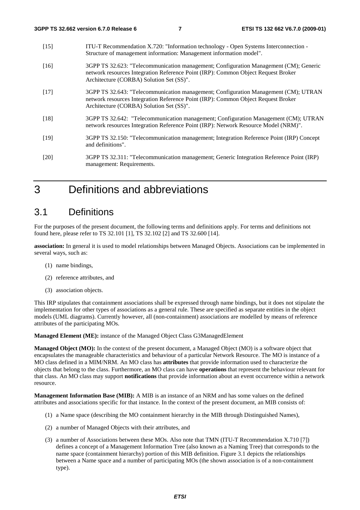- [15] ITU-T Recommendation X.720: "Information technology Open Systems Interconnection Structure of management information: Management information model".
- [16] 3GPP TS 32.623: "Telecommunication management; Configuration Management (CM); Generic network resources Integration Reference Point (IRP): Common Object Request Broker Architecture (CORBA) Solution Set (SS)".
- [17] 3GPP TS 32.643: "Telecommunication management; Configuration Management (CM); UTRAN network resources Integration Reference Point (IRP): Common Object Request Broker Architecture (CORBA) Solution Set (SS)".
- [18] 3GPP TS 32.642: "Telecommunication management; Configuration Management (CM); UTRAN network resources Integration Reference Point (IRP): Network Resource Model (NRM)".
- [19] 3GPP TS 32.150: "Telecommunication management; Integration Reference Point (IRP) Concept and definitions".
- [20] 3GPP TS 32.311: "Telecommunication management; Generic Integration Reference Point (IRP) management: Requirements.

# 3 Definitions and abbreviations

### 3.1 Definitions

For the purposes of the present document, the following terms and definitions apply. For terms and definitions not found here, please refer to TS 32.101 [1], TS 32.102 [2] and TS 32.600 [14].

**association:** In general it is used to model relationships between Managed Objects. Associations can be implemented in several ways, such as:

- (1) name bindings,
- (2) reference attributes, and
- (3) association objects.

This IRP stipulates that containment associations shall be expressed through name bindings, but it does not stipulate the implementation for other types of associations as a general rule. These are specified as separate entities in the object models (UML diagrams). Currently however, all (non-containment) associations are modelled by means of reference attributes of the participating MOs.

**Managed Element (ME):** instance of the Managed Object Class G3ManagedElement

**Managed Object (MO):** In the context of the present document, a Managed Object (MO) is a software object that encapsulates the manageable characteristics and behaviour of a particular Network Resource. The MO is instance of a MO class defined in a MIM/NRM. An MO class has **attributes** that provide information used to characterize the objects that belong to the class. Furthermore, an MO class can have **operations** that represent the behaviour relevant for that class. An MO class may support **notifications** that provide information about an event occurrence within a network resource.

**Management Information Base (MIB):** A MIB is an instance of an NRM and has some values on the defined attributes and associations specific for that instance. In the context of the present document, an MIB consists of:

- (1) a Name space (describing the MO containment hierarchy in the MIB through Distinguished Names),
- (2) a number of Managed Objects with their attributes, and
- (3) a number of Associations between these MOs. Also note that TMN (ITU-T Recommendation X.710 [7]) defines a concept of a Management Information Tree (also known as a Naming Tree) that corresponds to the name space (containment hierarchy) portion of this MIB definition. Figure 3.1 depicts the relationships between a Name space and a number of participating MOs (the shown association is of a non-containment type).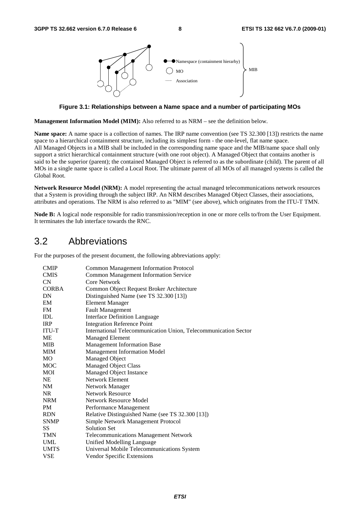

**Figure 3.1: Relationships between a Name space and a number of participating MOs** 

**Management Information Model (MIM):** Also referred to as NRM – see the definition below.

**Name space:** A name space is a collection of names. The IRP name convention (see TS 32.300 [13]) restricts the name space to a hierarchical containment structure, including its simplest form - the one-level, flat name space. All Managed Objects in a MIB shall be included in the corresponding name space and the MIB/name space shall only support a strict hierarchical containment structure (with one root object). A Managed Object that contains another is said to be the superior (parent); the contained Managed Object is referred to as the subordinate (child). The parent of all MOs in a single name space is called a Local Root. The ultimate parent of all MOs of all managed systems is called the Global Root.

**Network Resource Model (NRM):** A model representing the actual managed telecommunications network resources that a System is providing through the subject IRP. An NRM describes Managed Object Classes, their associations, attributes and operations. The NRM is also referred to as "MIM" (see above), which originates from the ITU-T TMN.

**Node B:** A logical node responsible for radio transmission/reception in one or more cells to/from the User Equipment. It terminates the Iub interface towards the RNC.

### 3.2 Abbreviations

For the purposes of the present document, the following abbreviations apply:

| <b>CMIP</b>  | <b>Common Management Information Protocol</b>                   |  |  |  |
|--------------|-----------------------------------------------------------------|--|--|--|
| <b>CMIS</b>  | <b>Common Management Information Service</b>                    |  |  |  |
| CN           | Core Network                                                    |  |  |  |
| <b>CORBA</b> | Common Object Request Broker Architecture                       |  |  |  |
| DN           | Distinguished Name (see TS 32.300 [13])                         |  |  |  |
| EM           | <b>Element Manager</b>                                          |  |  |  |
| FM           | <b>Fault Management</b>                                         |  |  |  |
| IDL          | <b>Interface Definition Language</b>                            |  |  |  |
| <b>IRP</b>   | <b>Integration Reference Point</b>                              |  |  |  |
| ITU-T        | International Telecommunication Union, Telecommunication Sector |  |  |  |
| МE           | <b>Managed Element</b>                                          |  |  |  |
| <b>MIB</b>   | Management Information Base                                     |  |  |  |
| <b>MIM</b>   | Management Information Model                                    |  |  |  |
| MO           | Managed Object                                                  |  |  |  |
| <b>MOC</b>   | <b>Managed Object Class</b>                                     |  |  |  |
| MOI          | Managed Object Instance                                         |  |  |  |
| NE           | Network Element                                                 |  |  |  |
| NM           | Network Manager                                                 |  |  |  |
| NR.          | <b>Network Resource</b>                                         |  |  |  |
| <b>NRM</b>   | Network Resource Model                                          |  |  |  |
| PM           | Performance Management                                          |  |  |  |
| <b>RDN</b>   | Relative Distinguished Name (see TS 32.300 [13])                |  |  |  |
| <b>SNMP</b>  | Simple Network Management Protocol                              |  |  |  |
| SS           | <b>Solution Set</b>                                             |  |  |  |
| <b>TMN</b>   | <b>Telecommunications Management Network</b>                    |  |  |  |
| <b>UML</b>   | Unified Modelling Language                                      |  |  |  |
| <b>UMTS</b>  | Universal Mobile Telecommunications System                      |  |  |  |
| <b>VSE</b>   | Vendor Specific Extensions                                      |  |  |  |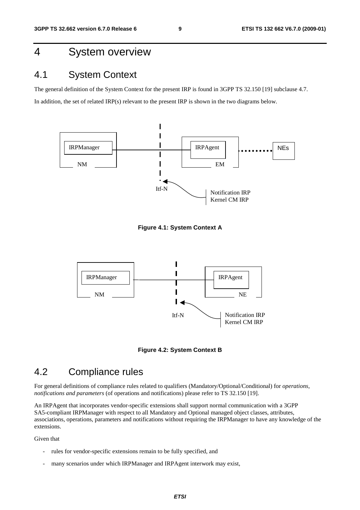# 4 System overview

### 4.1 System Context

The general definition of the System Context for the present IRP is found in 3GPP TS 32.150 [19] subclause 4.7. In addition, the set of related IRP(s) relevant to the present IRP is shown in the two diagrams below.



**Figure 4.1: System Context A** 



**Figure 4.2: System Context B** 

### 4.2 Compliance rules

For general definitions of compliance rules related to qualifiers (Mandatory/Optional/Conditional) for *operations*, *notifications and parameters* (of operations and notifications) please refer to TS 32.150 [19].

An IRPAgent that incorporates vendor-specific extensions shall support normal communication with a 3GPP SA5-compliant IRPManager with respect to all Mandatory and Optional managed object classes, attributes, associations, operations, parameters and notifications without requiring the IRPManager to have any knowledge of the extensions.

Given that

- rules for vendor-specific extensions remain to be fully specified, and
- many scenarios under which IRPManager and IRPAgent interwork may exist,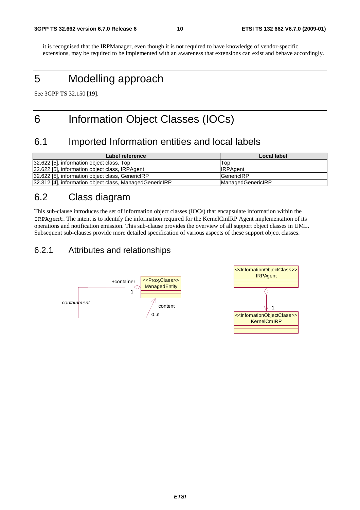it is recognised that the IRPManager, even though it is not required to have knowledge of vendor-specific extensions, may be required to be implemented with an awareness that extensions can exist and behave accordingly.

# 5 Modelling approach

See 3GPP TS 32.150 [19].

# 6 Information Object Classes (IOCs)

### 6.1 Imported Information entities and local labels

| Label reference                                         | Local label              |
|---------------------------------------------------------|--------------------------|
| 32.622 [5], information object class, Top               | Top                      |
| 32.622 [5], information object class, IRPAgent          | <b>IRPAgent</b>          |
| 32.622 [5], information object class, GenericIRP        | <b>GenericIRP</b>        |
| 32.312 [4], information object class, ManagedGenericIRP | <b>ManagedGenericIRP</b> |

# 6.2 Class diagram

This sub-clause introduces the set of information object classes (IOCs) that encapsulate information within the IRPAgent. The intent is to identify the information required for the KernelCmIRP Agent implementation of its operations and notification emission. This sub-clause provides the overview of all support object classes in UML. Subsequent sub-clauses provide more detailed specification of various aspects of these support object classes.

### 6.2.1 Attributes and relationships

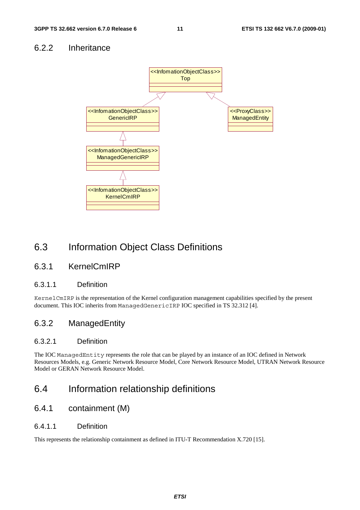### 6.2.2 Inheritance



### 6.3 Information Object Class Definitions

### 6.3.1 KernelCmIRP

#### 6.3.1.1 Definition

KernelCmIRP is the representation of the Kernel configuration management capabilities specified by the present document. This IOC inherits from ManagedGenericIRP IOC specified in TS 32.312 [4].

### 6.3.2 ManagedEntity

### 6.3.2.1 Definition

The IOC ManagedEntity represents the role that can be played by an instance of an IOC defined in Network Resources Models, e.g. Generic Network Resource Model, Core Network Resource Model, UTRAN Network Resource Model or GERAN Network Resource Model.

### 6.4 Information relationship definitions

### 6.4.1 containment (M)

#### 6.4.1.1 Definition

This represents the relationship containment as defined in ITU-T Recommendation X.720 [15].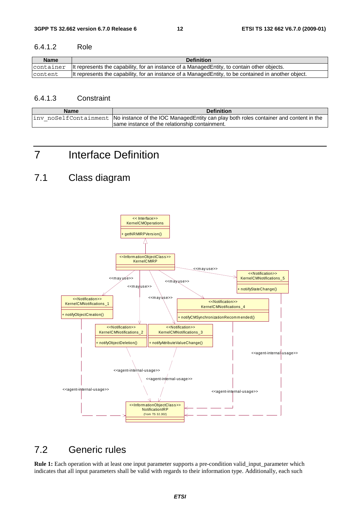#### 6.4.1.2 Role

| <b>Name</b> | <b>Definition</b>                                                                                                        |
|-------------|--------------------------------------------------------------------------------------------------------------------------|
|             | $\alpha$ container $\alpha$ lt represents the capability, for an instance of a Managed Entity, to contain other objects. |
| lcontent    | It represents the capability, for an instance of a Managed Entity, to be contained in another object.                    |

#### 6.4.1.3 Constraint

| <b>Name</b> | <b>Definition</b>                                                                                           |
|-------------|-------------------------------------------------------------------------------------------------------------|
|             | inv noSelfContainment No instance of the IOC ManagedEntity can play both roles container and content in the |
|             | Isame instance of the relationship containment.                                                             |

# 7 Interface Definition

# 7.1 Class diagram



# 7.2 Generic rules

**Rule 1:** Each operation with at least one input parameter supports a pre-condition valid input parameter which indicates that all input parameters shall be valid with regards to their information type. Additionally, each such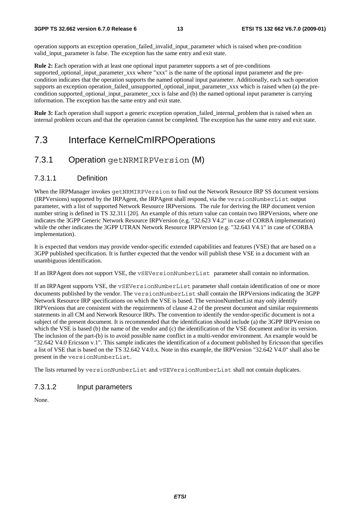operation supports an exception operation\_failed\_invalid\_input\_parameter which is raised when pre-condition valid\_input\_parameter is false. The exception has the same entry and exit state.

**Rule 2:** Each operation with at least one optional input parameter supports a set of pre-conditions supported optional input parameter xxx where "xxx" is the name of the optional input parameter and the precondition indicates that the operation supports the named optional input parameter. Additionally, each such operation supports an exception operation\_failed\_unsupported\_optional\_input\_parameter\_xxx which is raised when (a) the precondition supported optional input parameter xxx is false and (b) the named optional input parameter is carrying information. The exception has the same entry and exit state.

**Rule 3:** Each operation shall support a generic exception operation\_failed\_internal\_problem that is raised when an internal problem occurs and that the operation cannot be completed. The exception has the same entry and exit state.

### 7.3 Interface KernelCmIRPOperations

### 7.3.1 Operation getNRMIRPVersion (M)

#### 7.3.1.1 Definition

When the IRPManager invokes getNRMIRPVersion to find out the Network Resource IRP SS document versions (IRPVersions) supported by the IRPAgent, the IRPAgent shall respond, via the versionNumberList output parameter, with a list of supported Network Resource IRPversions. The rule for deriving the IRP document version number string is defined in TS 32.311 [20]. An example of this return value can contain two IRPVersions, where one indicates the 3GPP Generic Network Resource IRPVersion (e.g. "32.623 V4.2" in case of CORBA implementation) while the other indicates the 3GPP UTRAN Network Resource IRPVersion (e.g. "32.643 V4.1" in case of CORBA implementation).

It is expected that vendors may provide vendor-specific extended capabilities and features (VSE) that are based on a 3GPP published specification. It is further expected that the vendor will publish these VSE in a document with an unambiguous identification.

If an IRPAgent does not support VSE, the vSEVersionNumberList parameter shall contain no information.

If an IRPAgent supports VSE, the vSEVersionNumberList parameter shall contain identification of one or more documents published by the vendor. The versionNumberList shall contain the IRPVersions indicating the 3GPP Network Resource IRP specifications on which the VSE is based. The versionNumberList may only identify IRPVersions that are consistent with the requirements of clause 4.2 of the present document and similar requirements statements in all CM and Network Resource IRPs. The convention to identify the vendor-specific document is not a subject of the present document. It is recommended that the identification should include (a) the 3GPP IRPVersion on which the VSE is based (b) the name of the vendor and (c) the identification of the VSE document and/or its version. The inclusion of the part-(b) is to avoid possible name conflict in a multi-vendor environment. An example would be "32.642 V4.0 Ericsson v.1". This sample indicates the identification of a document published by Ericsson that specifies a list of VSE that is based on the TS 32.642 V4.0.x. Note in this example, the IRPVersion "32.642 V4.0" shall also be present in the versionNumberList.

The lists returned by versionNumberList and vSEVersionNumberList shall not contain duplicates.

#### 7.3.1.2 Input parameters

None.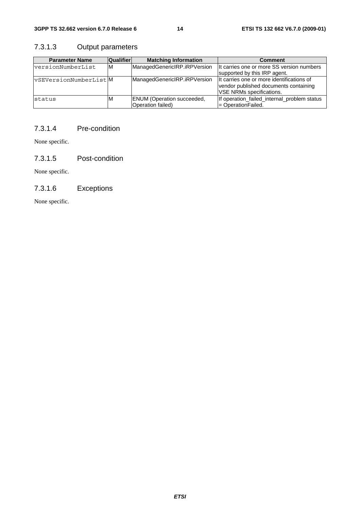### 7.3.1.3 Output parameters

| <b>Parameter Name</b>        | <b>Qualifier</b> | <b>Matching Information</b>                            | <b>Comment</b>                                                                                                         |
|------------------------------|------------------|--------------------------------------------------------|------------------------------------------------------------------------------------------------------------------------|
| <b>versionNumberList</b>     | ΙM               | ManagedGenericIRP.iRPVersion                           | It carries one or more SS version numbers<br>supported by this IRP agent.                                              |
| <b>vSEVersionNumberListM</b> |                  | ManagedGenericIRP.iRPVersion                           | It carries one or more identifications of<br>vendor published documents containing<br><b>IVSE NRMs specifications.</b> |
| status                       | ιM               | <b>ENUM</b> (Operation succeeded,<br>Operation failed) | If operation_failed_internal_problem status<br>l= OperationFailed.                                                     |

### 7.3.1.4 Pre-condition

None specific.

7.3.1.5 Post-condition

None specific.

### 7.3.1.6 Exceptions

None specific.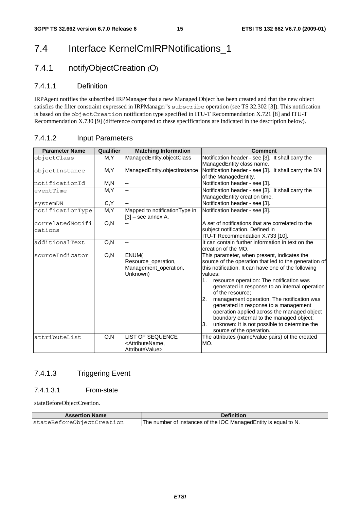# 7.4 Interface KernelCmIRPNotifications\_1

### 7.4.1 notifyObjectCreation (O)

### 7.4.1.1 Definition

IRPAgent notifies the subscribed IRPManager that a new Managed Object has been created and that the new object satisfies the filter constraint expressed in IRPManager"s subscribe operation (see TS 32.302 [3]). This notification is based on the objectCreation notification type specified in ITU-T Recommendation X.721 [8] and ITU-T Recommendation X.730 [9] (difference compared to these specifications are indicated in the description below).

| <b>Parameter Name</b>       | Qualifier |                                                                                      | <b>Comment</b>                                                                                                                                                                                                                                                                                                                                                                                                                                                                                                                                                           |  |
|-----------------------------|-----------|--------------------------------------------------------------------------------------|--------------------------------------------------------------------------------------------------------------------------------------------------------------------------------------------------------------------------------------------------------------------------------------------------------------------------------------------------------------------------------------------------------------------------------------------------------------------------------------------------------------------------------------------------------------------------|--|
|                             |           | <b>Matching Information</b>                                                          |                                                                                                                                                                                                                                                                                                                                                                                                                                                                                                                                                                          |  |
| objectClass                 | M.Y       | ManagedEntity.objectClass                                                            | Notification header - see [3]. It shall carry the<br>ManagedEntity class name.                                                                                                                                                                                                                                                                                                                                                                                                                                                                                           |  |
| objectInstance              | M, Y      | ManagedEntity.objectInstance                                                         | Notification header - see [3]. It shall carry the DN<br>of the ManagedEntity.                                                                                                                                                                                                                                                                                                                                                                                                                                                                                            |  |
| notificationId              | M,N       | --                                                                                   | Notification header - see [3].                                                                                                                                                                                                                                                                                                                                                                                                                                                                                                                                           |  |
| eventTime                   | M, Y      | --                                                                                   | Notification header - see [3]. It shall carry the<br>ManagedEntity creation time.                                                                                                                                                                                                                                                                                                                                                                                                                                                                                        |  |
| systemDN                    | C, Y      |                                                                                      | Notification header - see [3].                                                                                                                                                                                                                                                                                                                                                                                                                                                                                                                                           |  |
| notificationType            | M, Y      | Mapped to notification Type in<br>[3] – see annex A.                                 | Notification header - see [3].                                                                                                                                                                                                                                                                                                                                                                                                                                                                                                                                           |  |
| correlatedNotifi<br>cations | O, N      |                                                                                      | A set of notifications that are correlated to the<br>subject notification. Defined in<br>ITU-T Recommendation X.733 [10].                                                                                                                                                                                                                                                                                                                                                                                                                                                |  |
| additionalText              | O, N      | 44                                                                                   | It can contain further information in text on the<br>creation of the MO.                                                                                                                                                                                                                                                                                                                                                                                                                                                                                                 |  |
| sourceIndicator             | O, N      | ENUM(<br>Resource_operation,<br>Management_operation,<br>Unknown)                    | This parameter, when present, indicates the<br>source of the operation that led to the generation of<br>this notification. It can have one of the following<br>values:<br>1.<br>resource operation: The notification was<br>generated in response to an internal operation<br>of the resource:<br>2.<br>management operation: The notification was<br>generated in response to a management<br>operation applied across the managed object<br>boundary external to the managed object;<br>unknown: It is not possible to determine the<br>3.<br>source of the operation. |  |
| attributeList               | O, N      | <b>LIST OF SEQUENCE</b><br><attributename.<br>AttributeValue&gt;</attributename.<br> | The attributes (name/value pairs) of the created<br>MO.                                                                                                                                                                                                                                                                                                                                                                                                                                                                                                                  |  |

### 7.4.1.2 Input Parameters

### 7.4.1.3 Triggering Event

### 7.4.1.3.1 From-state

stateBeforeObjectCreation.

| <b>Assertion Name</b>     | <b>Definition</b>                                                |  |
|---------------------------|------------------------------------------------------------------|--|
| stateBeforeObjectCreation | The number of instances of the IOC Managed Entity is equal to N. |  |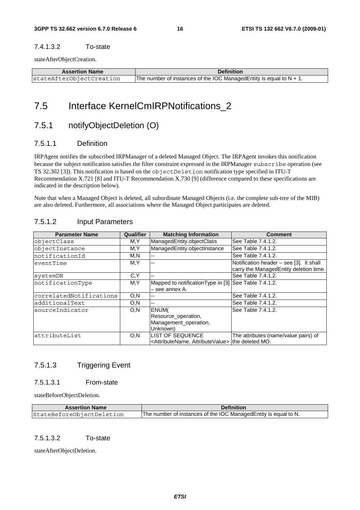#### 7.4.1.3.2 To-state

stateAfterObjectCreation.

| <b>Assertion Name</b>    | <b>Definition</b>                                                       |  |
|--------------------------|-------------------------------------------------------------------------|--|
| stateAfterObjectCreation | The number of instances of the IOC Managed Entity is equal to $N + 1$ . |  |

### 7.5 Interface KernelCmIRPNotifications\_2

### 7.5.1 notifyObjectDeletion (O)

#### 7.5.1.1 Definition

IRPAgent notifies the subscribed IRPManager of a deleted Managed Object. The IRPAgent invokes this notification because the subject notification satisfies the filter constraint expressed in the IRPManager subscribe operation (see TS 32.302 [3]). This notification is based on the objectDeletion notification type specified in ITU-T Recommendation X.721 [8] and ITU-T Recommendation X.730 [9] (difference compared to these specifications are indicated in the description below).

Note that when a Managed Object is deleted, all subordinate Managed Objects (i.e. the complete sub-tree of the MIB) are also deleted. Furthermore, all associations where the Managed Object participates are deleted.

### 7.5.1.2 Input Parameters

| <b>Parameter Name</b>   | Qualifier | <b>Matching Information</b>                                         | <b>Comment</b>                          |
|-------------------------|-----------|---------------------------------------------------------------------|-----------------------------------------|
| objectClass             | M,Y       | ManagedEntity.objectClass                                           | See Table 7.4.1.2.                      |
| objectInstance          | M,Y       | ManagedEntity.objectInstance                                        | See Table 7.4.1.2.                      |
| notificationId          | M,N       | $-$                                                                 | See Table 7.4.1.2.                      |
| eventTime               | M,Y       | --                                                                  | Notification header – see [3]. It shall |
|                         |           |                                                                     | carry the ManagedEntity deletion time.  |
| systemDN                | C, Y      | --                                                                  | See Table 7.4.1.2.                      |
| notificationType        | M,Y       | Mapped to notification Type in [3] See Table 7.4.1.2.               |                                         |
|                         |           | – see annex A.                                                      |                                         |
| correlatedNotifications | O, N      | $-$                                                                 | See Table 7.4.1.2.                      |
| additionalText          | O, N      | --                                                                  | See Table 7.4.1.2.                      |
| sourceIndicator         | O, N      | ENUM(                                                               | See Table 7.4.1.2.                      |
|                         |           | Resource_operation,                                                 |                                         |
|                         |           | Management operation,                                               |                                         |
|                         |           | Unknown)                                                            |                                         |
| attributeList           | O, N      | <b>LIST OF SEQUENCE</b>                                             | The attributes (name/value pairs) of    |
|                         |           | <attributename, attributevalue=""> the deleted MO.</attributename,> |                                         |

### 7.5.1.3 Triggering Event

#### 7.5.1.3.1 From-state

stateBeforeObjectDeletion.

| <b>Assertion Name</b>     | <b>Definition</b>                                                |
|---------------------------|------------------------------------------------------------------|
| StateBeforeObjectDeletion | The number of instances of the IOC Managed Entity is equal to N. |

#### 7.5.1.3.2 To-state

stateAfterObjectDeletion.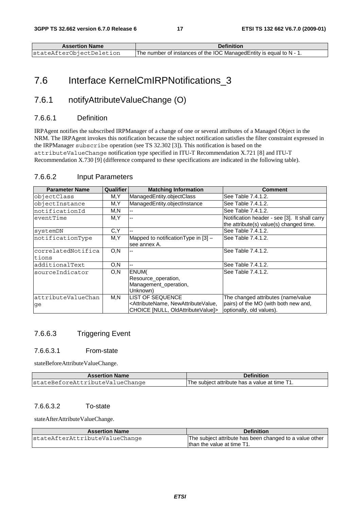| <b>Assertion Name</b>    | <b>Definition</b>                                                   |
|--------------------------|---------------------------------------------------------------------|
| stateAfterObiectDeletion | The number of instances of the IOC Managed Entity is equal to N - 1 |

# 7.6 Interface KernelCmIRPNotifications\_3

### 7.6.1 notifyAttributeValueChange (O)

### 7.6.6.1 Definition

IRPAgent notifies the subscribed IRPManager of a change of one or several attributes of a Managed Object in the NRM. The IRPAgent invokes this notification because the subject notification satisfies the filter constraint expressed in the IRPManager subscribe operation (see TS 32.302 [3]). This notification is based on the attributeValueChange notification type specified in ITU-T Recommendation X.721 [8] and ITU-T Recommendation X.730 [9] (difference compared to these specifications are indicated in the following table).

| <b>Parameter Name</b> | Qualifier | <b>Matching Information</b>                                                                    | <b>Comment</b>                                                                           |
|-----------------------|-----------|------------------------------------------------------------------------------------------------|------------------------------------------------------------------------------------------|
| objectClass           | M,Y       | ManagedEntity.objectClass                                                                      | See Table 7.4.1.2.                                                                       |
| objectInstance        | M,Y       | ManagedEntity.objectInstance                                                                   | See Table 7.4.1.2.                                                                       |
| InotificationId       | M,N       | $- -$                                                                                          | See Table 7.4.1.2.                                                                       |
| eventTime             | M,Y       | --                                                                                             | Notification header - see [3]. It shall carry<br>the attribute(s) value(s) changed time. |
| systemDN              | C.Y       | --                                                                                             | See Table 7.4.1.2.                                                                       |
| notificationType      | M,Y       | Mapped to notification Type in [3] -<br>see annex A.                                           | See Table 7.4.1.2.                                                                       |
| correlatedNotifica    | O, N      |                                                                                                | See Table 7.4.1.2.                                                                       |
| tions                 |           |                                                                                                |                                                                                          |
| ladditionalText       | O, N      | --                                                                                             | See Table 7.4.1.2.                                                                       |
| sourceIndicator       | O, N      | ENUM(<br>Resource operation,<br>Management_operation,<br>Unknown)                              | See Table 7.4.1.2.                                                                       |
| attributeValueChan    | M,N       | LIST OF SEQUENCE                                                                               | The changed attributes (name/value                                                       |
| ge                    |           | <attributename, newattributevalue,<br="">CHOICE [NULL, OldAttributeValue]&gt;</attributename,> | pairs) of the MO (with both new and,<br>optionally, old values).                         |

#### 7.6.6.2 Input Parameters

### 7.6.6.3 Triggering Event

#### 7.6.6.3.1 From-state

stateBeforeAttributeValueChange.

| <b>Assertion Name</b>           | <b>Definition</b>                             |
|---------------------------------|-----------------------------------------------|
| stateBeforeAttributeValueChange | The subject attribute has a value at time T1. |

#### 7.6.6.3.2 To-state

stateAfterAttributeValueChange.

| <b>Assertion Name</b>          | <b>Definition</b>                                                                     |
|--------------------------------|---------------------------------------------------------------------------------------|
| stateAfterAttributeValueChange | The subject attribute has been changed to a value other<br>than the value at time T1. |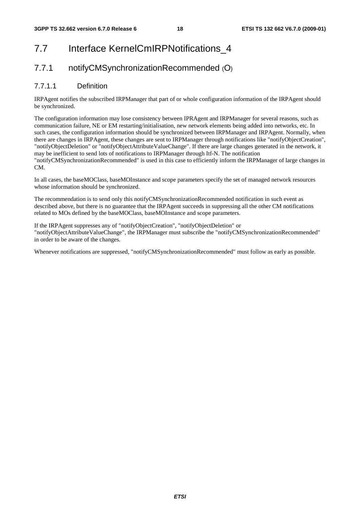# 7.7 Interface KernelCmIRPNotifications 4

### 7.7.1 notifyCMSynchronizationRecommended (O)

### 7.7.1.1 Definition

IRPAgent notifies the subscribed IRPManager that part of or whole configuration information of the IRPAgent should be synchronized.

The configuration information may lose consistency between IPRAgent and IRPManager for several reasons, such as communication failure, NE or EM restarting/initialisation, new network elements being added into networks, etc. In such cases, the configuration information should be synchronized between IRPManager and IRPAgent. Normally, when there are changes in IRPAgent, these changes are sent to IRPManager through notifications like "notifyObjectCreation", "notifyObjectDeletion" or "notifyObjectAttributeValueChange". If there are large changes generated in the network, it may be inefficient to send lots of notifications to IRPManager through Itf-N. The notification

"notifyCMSynchronizationRecommended" is used in this case to efficiently inform the IRPManager of large changes in CM.

In all cases, the baseMOClass, baseMOInstance and scope parameters specify the set of managed network resources whose information should be synchronized.

The recommendation is to send only this notifyCMSynchronizationRecommended notification in such event as described above, but there is no guarantee that the IRPAgent succeeds in suppressing all the other CM notifications related to MOs defined by the baseMOClass, baseMOInstance and scope parameters.

If the IRPAgent suppresses any of "notifyObjectCreation", "notifyObjectDeletion" or "notifyObjectAttributeValueChange", the IRPManager must subscribe the "notifyCMSynchronizationRecommended" in order to be aware of the changes.

Whenever notifications are suppressed, "notifyCMSynchronizationRecommended" must follow as early as possible.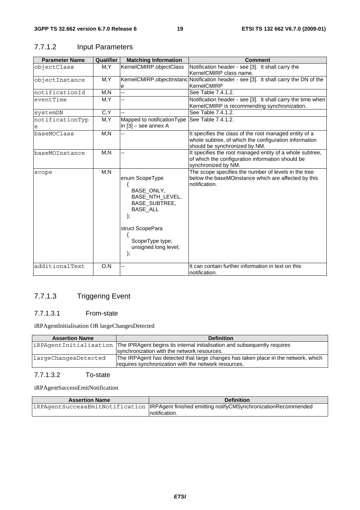| <b>Parameter Name</b> | Qualifier | <b>Matching Information</b>                                                                                                                                           | <b>Comment</b>                                                                                                                                   |
|-----------------------|-----------|-----------------------------------------------------------------------------------------------------------------------------------------------------------------------|--------------------------------------------------------------------------------------------------------------------------------------------------|
| objectClass           | M, Y      | KernelCMIRP.objectClass                                                                                                                                               | Notification header - see [3]. It shall carry the<br>KernelCMIRP class name.                                                                     |
| objectInstance        | M,Y       | е                                                                                                                                                                     | KernelCMIRP.objectInstanc Notification header - see [3]. It shall carry the DN of the<br>KernelCMIRP                                             |
| notificationId        | M, N      | Ξ.                                                                                                                                                                    | See Table 7.4.1.2.                                                                                                                               |
| eventTime             | M, Y      |                                                                                                                                                                       | Notification header - see [3]. It shall carry the time when<br>KernelCMIRP is recommending synchronization.                                      |
| systemDN              | C, Y      |                                                                                                                                                                       | See Table 7.4.1.2.                                                                                                                               |
| notificationTyp<br>e  | M,Y       | Mapped to notificationType<br>in $[3]$ – see annex A                                                                                                                  | See Table 7.4.1.2.                                                                                                                               |
| baseMOClass           | M, N      |                                                                                                                                                                       | It specifies the class of the root managed entity of a<br>whole subtree, of which the configuration information<br>should be synchronized by NM. |
| baseMOInstance        | M, N      |                                                                                                                                                                       | It specifies the root managed entity of a whole subtree,<br>of which the configuration information should be<br>synchronized by NM.              |
| scope                 | M, N      | enum ScopeType<br>BASE_ONLY,<br>BASE_NTH_LEVEL,<br><b>BASE SUBTREE,</b><br><b>BASE ALL</b><br>λ.<br>struct ScopePara<br>ScopeType type;<br>unsigned long level;<br>}; | The scope specifies the number of levels in the tree<br>below the baseMOinstance which are affected by this<br>notification.                     |
| additionalText        | O, N      |                                                                                                                                                                       | It can contain further information in text on this<br>notification.                                                                              |

### 7.7.1.2 Input Parameters

### 7.7.1.3 Triggering Event

### 7.7.1.3.1 From-state

iRPAgentInitialisation OR largeChangesDetected

| <b>Assertion Name</b> | <b>Definition</b>                                                                                |
|-----------------------|--------------------------------------------------------------------------------------------------|
|                       | iRPAgentInitialisation The IPRAgent begins its internal initialisation and subsequently requires |
|                       | synchronization with the network resources.                                                      |
| largeChangesDetected  | The IRPAgent has detected that large changes has taken place in the network, which               |
|                       | requires synchronization with the network resources.                                             |
|                       |                                                                                                  |

### 7.7.1.3.2 To-state

iRPAgentSuccessEmitNotification

| <b>Assertion Name</b> | <b>Definition</b>                                                                               |
|-----------------------|-------------------------------------------------------------------------------------------------|
|                       | iRPAgentSuccessEmitNotification   IRPAgent finished emitting notifyCMSynchronizationRecommended |
|                       | Inotification.                                                                                  |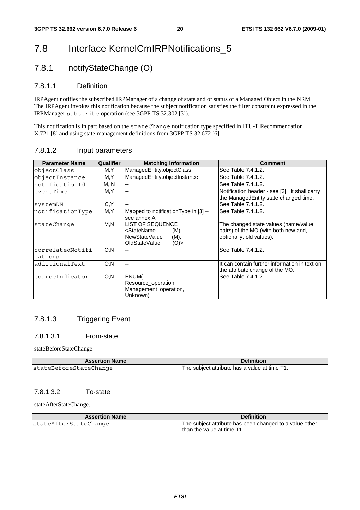# 7.8 Interface KernelCmIRPNotifications\_5

### 7.8.1 notifyStateChange (O)

### 7.8.1.1 Definition

IRPAgent notifies the subscribed IRPManager of a change of state and or status of a Managed Object in the NRM. The IRPAgent invokes this notification because the subject notification satisfies the filter constraint expressed in the IRPManager subscribe operation (see 3GPP TS 32.302 [3]).

This notification is in part based on the stateChange notification type specified in ITU-T Recommendation X.721 [8] and using state management definitions from 3GPP TS 32.672 [6].

| 7.8.1.2 | Input parameters |
|---------|------------------|
|---------|------------------|

| <b>Parameter Name</b> | Qualifier | <b>Matching Information</b>                    | <b>Comment</b>                                |
|-----------------------|-----------|------------------------------------------------|-----------------------------------------------|
| objectClass           | M,Y       | ManagedEntity.objectClass                      | See Table 7.4.1.2.                            |
| objectInstance        | M,Y       | ManagedEntity.objectInstance                   | See Table 7.4.1.2.                            |
| notificationId        | M, N      |                                                | See Table 7.4.1.2.                            |
| eventTime             | M,Y       | $-$                                            | Notification header - see [3]. It shall carry |
|                       |           |                                                | the ManagedEntity state changed time.         |
| systemDN              | C,Y       |                                                | See Table 7.4.1.2.                            |
| notificationType      | M, Y      | Mapped to notification Type in [3] -           | See Table 7.4.1.2.                            |
|                       |           | see annex A                                    |                                               |
| stateChange           | M,N       | <b>LIST OF SEQUENCE</b>                        | The changed state values (name/value          |
|                       |           | <statename<br><math>(M)</math>,</statename<br> | pairs) of the MO (with both new and,          |
|                       |           | NewStateValue<br>(M),                          | optionally, old values).                      |
|                       |           | OldStateValue<br>$(O)$ >                       |                                               |
| correlatedNotifi      | O, N      |                                                | See Table 7.4.1.2.                            |
| cations               |           |                                                |                                               |
| additionalText        | O, N      |                                                | It can contain further information in text on |
|                       |           |                                                | the attribute change of the MO.               |
| sourceIndicator       | O, N      | ENUM(                                          | See Table 7.4.1.2.                            |
|                       |           | Resource operation,                            |                                               |
|                       |           | Management_operation,                          |                                               |
|                       |           | Unknown)                                       |                                               |

### 7.8.1.3 Triggering Event

### 7.8.1.3.1 From-state

stateBeforeStateChange.

| <b>Assertion Name</b>  | <b>Definition</b>                           |
|------------------------|---------------------------------------------|
| stateBeforeStateChange | The subiect attribute has a value at time T |

### 7.8.1.3.2 To-state

stateAfterStateChange.

| <b>Assertion Name</b> | <b>Definition</b>                                       |
|-----------------------|---------------------------------------------------------|
| stateAfterStateChange | The subject attribute has been changed to a value other |
|                       | Ithan the value at time T1.                             |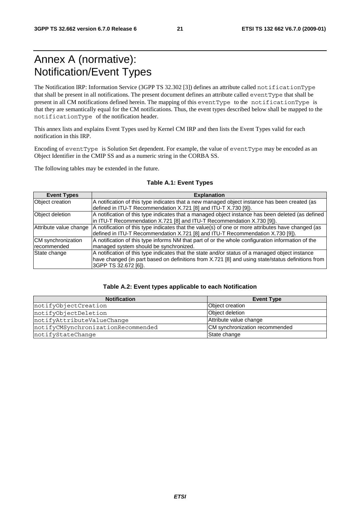# Annex A (normative): Notification/Event Types

The Notification IRP: Information Service (3GPP TS 32.302 [3]) defines an attribute called notificationType that shall be present in all notifications. The present document defines an attribute called eventType that shall be present in all CM notifications defined herein. The mapping of this eventType to the notificationType is that they are semantically equal for the CM notifications. Thus, the event types described below shall be mapped to the notificationType of the notification header.

This annex lists and explains Event Types used by Kernel CM IRP and then lists the Event Types valid for each notification in this IRP.

Encoding of eventType is Solution Set dependent. For example, the value of eventType may be encoded as an Object Identifier in the CMIP SS and as a numeric string in the CORBA SS.

The following tables may be extended in the future.

| <b>Event Types</b>     | <b>Explanation</b>                                                                                 |
|------------------------|----------------------------------------------------------------------------------------------------|
| Object creation        | A notification of this type indicates that a new managed object instance has been created (as      |
|                        | defined in ITU-T Recommendation X.721 [8] and ITU-T X.730 [9]).                                    |
| Object deletion        | A notification of this type indicates that a managed object instance has been deleted (as defined  |
|                        | in ITU-T Recommendation X.721 [8] and ITU-T Recommendation X.730 [9]).                             |
| Attribute value change | A notification of this type indicates that the value(s) of one or more attributes have changed (as |
|                        | defined in ITU-T Recommendation X.721 [8] and ITU-T Recommendation X.730 [9]).                     |
| CM synchronization     | A notification of this type informs NM that part of or the whole configuration information of the  |
| recommended            | managed system should be synchronized.                                                             |
| State change           | A notification of this type indicates that the state and/or status of a managed object instance    |
|                        | have changed (in part based on definitions from X.721 [8] and using state/status definitions from  |
|                        | 3GPP TS 32.672 [6]).                                                                               |

#### **Table A.1: Event Types**

#### **Table A.2: Event types applicable to each Notification**

| <b>Notification</b>                | <b>Event Type</b>              |  |  |  |
|------------------------------------|--------------------------------|--|--|--|
| notifyObjectCreation               | Object creation                |  |  |  |
| notifyObjectDeletion               | Object deletion                |  |  |  |
| notifyAttributeValueChange         | Attribute value change         |  |  |  |
| notifyCMSynchronizationRecommended | CM synchronization recommended |  |  |  |
| notifyStateChange                  | State change                   |  |  |  |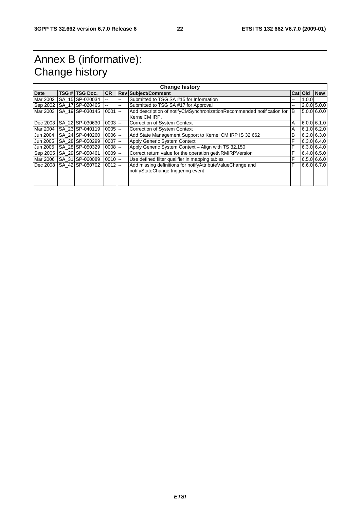# Annex B (informative): Change history

| <b>Change history</b> |  |                 |            |     |                                                                        |    |         |               |
|-----------------------|--|-----------------|------------|-----|------------------------------------------------------------------------|----|---------|---------------|
| Date                  |  | TSG # TSG Doc.  | <b>CR</b>  |     | <b>Rev Subject/Comment</b>                                             |    | Cat Old | <b>New</b>    |
| Mar 2002              |  | SA 15 SP-020034 |            | --  | Submitted to TSG SA #15 for Information                                | -- | 1.0.0   |               |
| Sep 2002              |  | SA 17 SP-020465 |            | $-$ | Submitted to TSG SA #17 for Approval                                   | -- |         | $2.0.0$ 5.0.0 |
| Mar 2003              |  | SA 19 SP-030145 | $0001$ --  |     | Add description of notifyCMSynchronizationRecommended notification for | IВ |         | $5.0.0$ 6.0.0 |
|                       |  |                 |            |     | KernelCM IRP.                                                          |    |         |               |
| Dec 2003              |  | SA 22 SP-030630 | $0003$ $-$ |     | <b>Correction of System Context</b>                                    | A  |         | 6.0.066.1.0   |
| Mar 2004              |  | SA 23 SP-040119 | $0005$ $-$ |     | <b>Correction of System Context</b>                                    | Α  |         | $6.1.0$ 6.2.0 |
| Jun 2004              |  | SA 24 SP-040260 | $0006$ $-$ |     | Add State Management Support to Kernel CM IRP IS 32.662                | B  |         | $6.2.0$ 6.3.0 |
| Jun 2005              |  | SA 28 SP-050299 | $0007$ --  |     | <b>Apply Generic System Context</b>                                    | F  |         | 6.3.0 6.4.0   |
| Jun 2005              |  | SA 28 SP-050329 | $0008$ $-$ |     | Apply Generic System Context - Align with TS 32.150                    | F  |         | $6.3.0$ 6.4.0 |
| Sep 2005              |  | SA 29 SP-050461 | $0009$ $-$ |     | Correct return value for the operation getNRMIRPVersion                | F  |         | 6.4.066.5.0   |
| Mar 2006              |  | SA 31 SP-060089 | $0010$ --  |     | Use defined filter qualifier in mapping tables                         | F  |         | 6.5.066.0     |
| Dec 2008              |  | SA 42 SP-080702 | $0012$ --  |     | Add missing definitions for notifyAttributeValueChange and             | F  |         | 6.6.0 6.7.0   |
|                       |  |                 |            |     | notifyStateChange triggering event                                     |    |         |               |
|                       |  |                 |            |     |                                                                        |    |         |               |
|                       |  |                 |            |     |                                                                        |    |         |               |